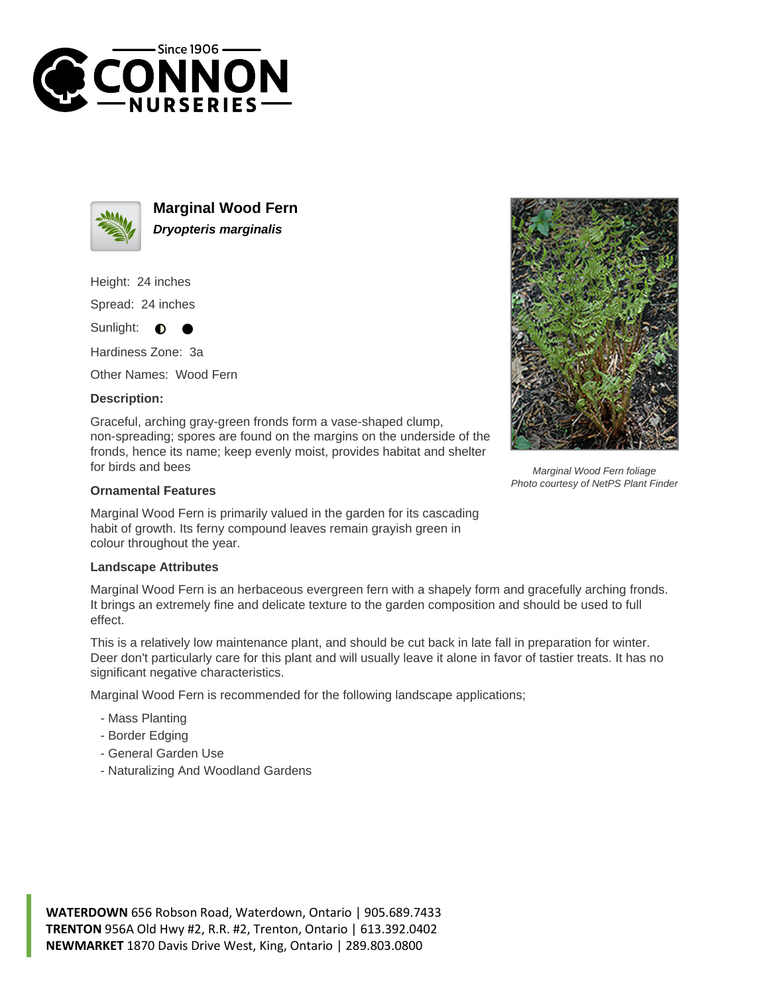



**Marginal Wood Fern Dryopteris marginalis**

Height: 24 inches

Spread: 24 inches

Sunlight:  $\bullet$ 

Hardiness Zone: 3a

Other Names: Wood Fern

## **Description:**

Graceful, arching gray-green fronds form a vase-shaped clump, non-spreading; spores are found on the margins on the underside of the fronds, hence its name; keep evenly moist, provides habitat and shelter for birds and bees

## **Ornamental Features**

Marginal Wood Fern is primarily valued in the garden for its cascading habit of growth. Its ferny compound leaves remain grayish green in colour throughout the year.

## **Landscape Attributes**

Marginal Wood Fern is an herbaceous evergreen fern with a shapely form and gracefully arching fronds. It brings an extremely fine and delicate texture to the garden composition and should be used to full effect.

This is a relatively low maintenance plant, and should be cut back in late fall in preparation for winter. Deer don't particularly care for this plant and will usually leave it alone in favor of tastier treats. It has no significant negative characteristics.

Marginal Wood Fern is recommended for the following landscape applications;

- Mass Planting
- Border Edging
- General Garden Use
- Naturalizing And Woodland Gardens



Marginal Wood Fern foliage Photo courtesy of NetPS Plant Finder

**WATERDOWN** 656 Robson Road, Waterdown, Ontario | 905.689.7433 **TRENTON** 956A Old Hwy #2, R.R. #2, Trenton, Ontario | 613.392.0402 **NEWMARKET** 1870 Davis Drive West, King, Ontario | 289.803.0800